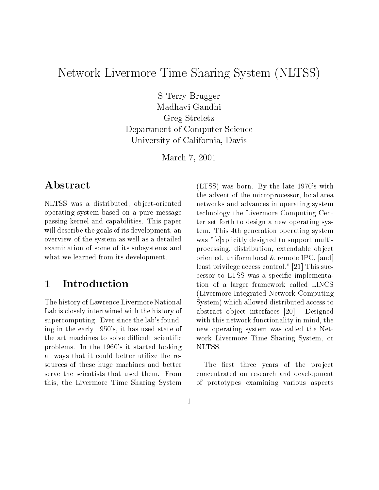# network Livermore Time Sharing System (Number 1989) System (NLTS) System (NLTSS) System (NLTSS) System (NLTSS)

s terry bruggers and the second state of the second state of the second state of the second state of the second state of the second state of the second state of the second state of the second state of the second state of t madhavi Gandhi Gandhi Gandhi Gandhi Gandhi Gandhi Gandhi Gandhi Gandhi Gandhi Gandhi Gandhi Gandhi Gandhi Gandh  $G = G - G$   $G = G - G$ Department of Computer Science University of California, Davis of California, D.C. (2001). Description of California, D.C. (2002). Description

————————————————————

# Abstract

NLTSS was a distributed, object-oriented operating system based on a pure message passing kernel and capabilities. This paper will describe the goals of its development, an overview of the system as well as a detailed examination of some of its subsystems and what we learned from its development.

### **Introduction**  $\mathbf{1}$

The history of Lawrence Livermore National Lab is closely intertwined with the history of supercomputing. Ever since the lab's founding in the early 1950's, it has used state of the art machines to solve difficult scientific problems. In the 1960's it started looking at ways that it could better utilize the resources of these huge machines and better serve the scientists that used them. From this, the Livermore Time Sharing System

(LTSS) was born. By the late 1970's with the advent of the microprocessor, local area networks and advances in operating system technology the Livermore Computing Center set forth to design a new operating system. This 4th generation operating system was "[e]xplicitly designed to support multiprocessing, distribution, extendable object oriented, uniform local & remote IPC, [and] least privilege access control." [21] This successor to LTSS was a specic implementation of a larger framework called LINCS (Livermore Integrated Network Computing System) which allowed distributed access to abstract object interfaces [20]. Designed with this network functionality in mind, the new operating system was called the Network Livermore Time Sharing System, or NLTSS.

The first three years of the project concentrated on research and development of prototypes examining various aspects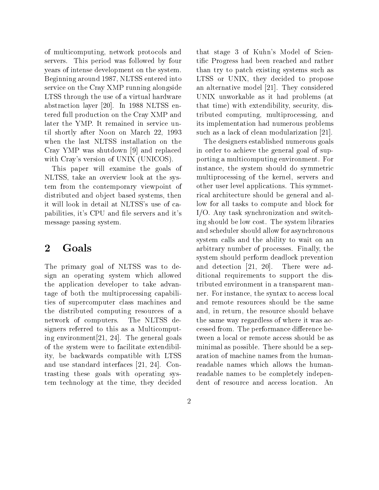of multicomputing, network protocols and servers. This period was followed by four years of intense development on the system. Beginning around 1987, NLTSS entered into service on the Cray XMP running alongside LTSS through the use of a virtual hardware abstraction layer [20]. In 1988 NLTSS entered full production on the Cray XMP and later the YMP. It remained in service until shortly after Noon on March 22, 1993 when the last NLTSS installation on the Cray YMP was shutdown [9] and replaced with Cray's version of UNIX (UNICOS).

This paper will examine the goals of NLTSS, take an overview look at the system from the contemporary viewpoint of distributed and object based systems, then it will look in detail at NLTSS's use of capabilities, it's CPU and file servers and it's message passing system.

The primary goal of NLTSS was to design an operating system which allowed the application developer to take advantage of both the multiprocessing capabilities of supercomputer class machines and the distributed computing resources of a network of computers. The NLTSS designers referred to this as a Multicomputing environment[21, 24]. The general goals of the system were to facilitate extendibility, be backwards compatible with LTSS and use standard interfaces [21, 24]. Contrasting these goals with operating system technology at the time, they decided

that stage 3 of Kuhn's Model of Scientic Progress had been reached and rather than try to patch existing systems such as LTSS or UNIX, they decided to propose an alternative model [21]. They considered UNIX unworkable as it had problems (at that time) with extendibility, security, distributed computing, multiprocessing, and its implementation had numerous problems such as a lack of clean modularization [21].

The designers established numerous goals in order to achieve the general goal of supporting a multicomputing environment. For instance, the system should do symmetric multiprocessing of the kernel, servers and other user level applications. This symmetrical architecture should be general and allow for all tasks to compute and block for I/O. Any task synchronization and switching should be low cost. The system libraries and scheduler should allow for asynchronous system calls and the ability to wait on an arbitrary number of processes. Finally, the system should perform deadlock prevention and detection [21, 20]. There were additional requirements to support the distributed environment in a transparent manner. For instance, the syntax to access local and remote resources should be the same and, in return, the resource should behave the same way regardless of where it was accessed from. The performance difference between a local or remote access should be as minimal as possible. There should be a separation of machine names from the humanreadable names which allows the humanreadable names to be completely independent of resource and access location. An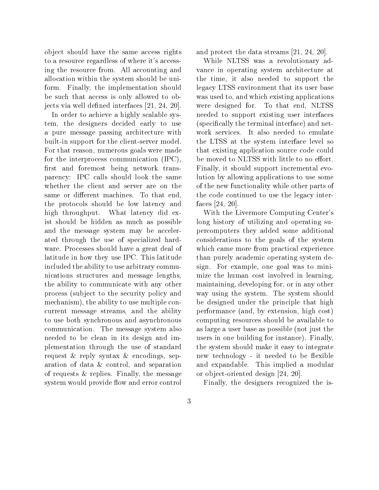ob ject should have the same access rights to a resource regardless of where it's accessing the resource from. All accounting and allocation within the system should be uniform. Finally, the implementation should be such that access is only allowed to objects via well defined interfaces [21, 24, 20].

In order to achieve a highly scalable system, the designers decided early to use a pure message passing architecture with built-in support for the client-server model. For that reason, numerous goals were made for the interprocess communication (IPC), first and foremost being network transparency: IPC calls should look the same whether the client and server are on the same or different machines. To that end, the protocols should be low latency and high throughput. What latency did exist should be hidden as much as possible and the message system may be accelerated through the use of specialized hardware. Processes should have a great deal of latitude in how they use IPC. This latitude included the ability to use arbitrary communications structures and message lengths, the ability to communicate with any other process (subject to the security policy and mechanism), the ability to use multiple concurrent message streams, and the ability to use both synchronous and asynchronous communication. The message system also needed to be clean in its design and implementation through the use of standard request & reply syntax & encodings, separation of data & control, and separation of requests & replies. Finally, the message system would provide flow and error control

and protect the data streams [21, 24, 20].

While NLTSS was a revolutionary advance in operating system architecture at the time, it also needed to support the legacy LTSS environment that its user base was used to, and which existing applications were designed for. To that end, NLTSS needed to support existing user interfaces (specically the terminal interface) and network services. It also needed to emulate the LTSS at the system interface level so that existing application source code could be moved to NLTSS with little to no effort. Finally, it should support incremental evolution by allowing applications to use some of the new functionality while other parts of the code continued to use the legacy interfaces [24, 20].

With the Livermore Computing Center's long history of utilizing and operating supercomputers they added some additional considerations to the goals of the system which came more from practical experience than purely academic operating system design. For example, one goal was to minimize the human cost involved in learning, maintaining, developing for, or in any other way using the system. The system should be designed under the principle that high performance (and, by extension, high cost) computing resources should be available to as large a user base as possible (not just the users in one building for instance). Finally, the system should make it easy to integrate new technology - it needed to be flexible and expandable. This implied a modular or ob ject-oriented design [24, 20].

Finally, the designers recognized the is-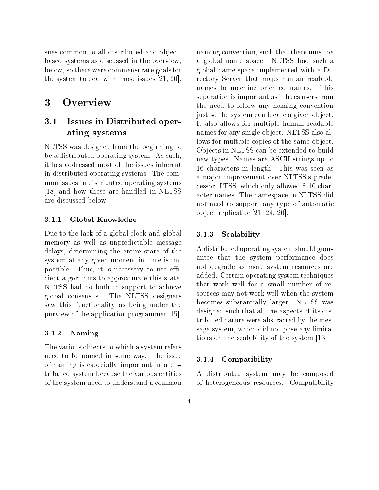sues common to all distributed and objectbased systems as discussed in the overview, below, so there were commensurate goals for the system to deal with those issues [21, 20].

#### 3 Overview

### 3.1 Issues in Distributed operating the system of the system of the system of the system of the system of the system of the system of the system of the system of the system of the system of the system of the system of the system of the system of the sy

NLTSS was designed from the beginning to be a distributed operating system. As such, it has addressed most of the issues inherent in distributed operating systems. The common issues in distributed operating systems [18] and how these are handled in NLTSS are discussed below.

## 3.1.1 Global Knowledge

Due to the lack of a global clock and global 3.1.3 memory as well as unpredictable message delays, determining the entire state of the system at any given moment in time is impossible. Thus, it is necessary to use efficient algorithms to approximate this state. NLTSS had no built-in support to achieve global consensus. The NLTSS designers saw this functionality as being under the purview of the application programmer [15].

### 3.1.2 Naming

The various objects to which a system refers need to be named in some way. The issue  $3.1.4$ of naming is especially important in a distributed system because the various entities of the system need to understand a common

naming convention, such that there must be a global name space. NLTSS had such a global name space implemented with a Directory Server that maps human readable names to machine oriented names. This separation is important as it frees users from the need to follow any naming convention just so the system can locate a given object. It also allows for multiple human readable names for any single object. NLTSS also allows for multiple copies of the same object. Objects in NLTSS can be extended to build new types. Names are ASCII strings up to 16 characters in length. This was seen as a ma jor improvement over NLTSS's predecessor, LTSS, which only allowed 8-10 character names. The namespace in NLTSS did not need to support any type of automatic ob ject replication[21, 24, 20].

## **Scalability**

A distributed operating system should guarantee that the system performance does not degrade as more system resources are added. Certain operating system techniques that work well for a small number of resources may not work well when the system becomes substantially larger. NLTSS was designed such that all the aspects of its distributed nature were abstracted by the message system, which did not pose any limitations on the scalability of the system [13].

### Compatibility

A distributed system may be composed of heterogeneous resources. Compatibility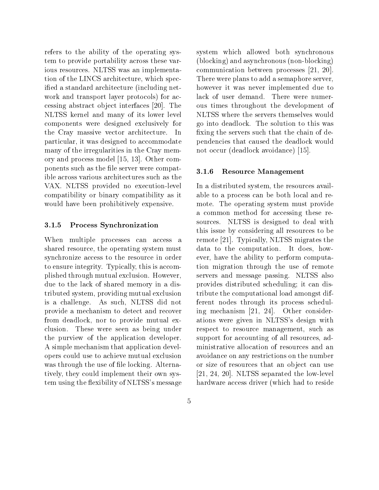refers to the ability of the operating system to provide portability across these various resources. NLTSS was an implementation of the LINCS architecture, which specified a standard architecture (including network and transport layer protocols) for accessing abstract ob ject interfaces [20]. The NLTSS kernel and many of its lower level components were designed exclusively for the Cray massive vector architecture. In particular, it was designed to accommodate many of the irregularities in the Cray memory and process model [15, 13]. Other components such as the file server were compatible across various architectures such as the VAX. NLTSS provided no execution-level compatibility or binary compatibility as it would have been prohibitively expensive.

## 3.1.5 Process Synchronization

When multiple processes can access a shared resource, the operating system must synchronize access to the resource in order to ensure integrity. Typically, this is accomplished through mutual exclusion. However, due to the lack of shared memory in a distributed system, providing mutual exclusion is a challenge. As such, NLTSS did not provide a mechanism to detect and recover from deadlock, nor to provide mutual exclusion. These were seen as being under the purview of the application developer. A simple mechanism that application developers could use to achieve mutual exclusion was through the use of file locking. Alternatively, they could implement their own system using the flexibility of NLTSS's message

system which allowed both synchronous (blocking) and asynchronous (non-blocking) communication between processes [21, 20]. There were plans to add a semaphore server, however it was never implemented due to lack of user demand. There were numerous times throughout the development of NLTSS where the servers themselves would go into deadlock. The solution to this was fixing the servers such that the chain of dependencies that caused the deadlock would not occur (deadlock avoidance) [15].

#### $3.1.6$ Resource Management

In a distributed system, the resources available to a process can be both local and remote. The operating system must provide a common method for accessing these resources. NLTSS is designed to deal with this issue by considering all resources to be remote [21]. Typically, NLTSS migrates the data to the computation. It does, however, have the ability to perform computation migration through the use of remote servers and message passing. NLTSS also provides distributed scheduling; it can distribute the computational load amongst different nodes through its process scheduling mechanism [21, 24]. Other considerations were given in NLTSS's design with respect to resource management, such as support for accounting of all resources, administrative allocation of resources and an avoidance on any restrictions on the number or size of resources that an object can use [21, 24, 20]. NLTSS separated the low-level hardware access driver (which had to reside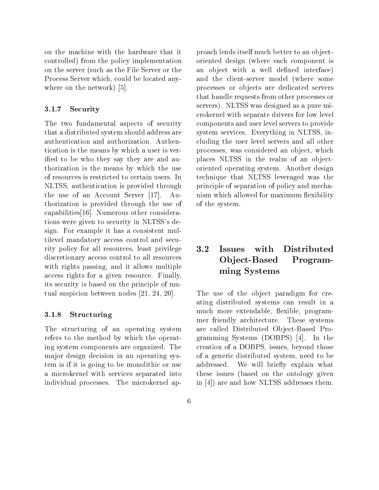on the machine with the hardware that it controlled) from the policy implementation on the server (such as the File Server or the Process Server which, could be located anywhere on the network) [5].

### 3.1.7 Security

The two fundamental aspects of security that a distributed system should address are authentication and authorization. Authentication is the means by which a user is verified to be who they say they are and authorization is the means by which the use of resources is restricted to certain users. In NLTSS, authentication is provided through the use of an Account Server [17]. Authorization is provided through the use of capabilities[16]. Numerous other considerations were given to security in NLTSS's design. For example it has a consistent multilevel mandatory access control and security policy for all resources, least privilege discretionary access control to all resources with rights passing, and it allows multiple access rights for a given resource. Finally, its security is based on the principle of mutual suspicion between nodes [21, 24, 20].

#### 3.1.8 Structuring

The structuring of an operating system refers to the method by which the operating system components are organized. The major design decision in an operating system is if it is going to be monolithic or use addressed. a microkernel with services separated into individual processes. The microkernel ap-

proach lends itself much better to an objectoriented design (where each component is an object with a well defined interface) and the client-server model (where some processes or ob jects are dedicated servers that handle requests from other processes or servers). NLTSS was designed as a pure microkernel with separate drivers for low level components and user level servers to provide system services. Everything in NLTSS, including the user level servers and all other processes, was considered an object, which places NLTSS in the realm of an objectoriented operating system. Another design technique that NLTSS leveraged was the principle of separation of policy and mechanism which allowed for maximum flexibility of the system.

### $-2$  Issues with Distributed Ob ject-Based Programministers and systems are all the systems of the system of the system of the system of the system of the system of the system of the system of the system of the system of the system of the system of the system of the syste

The use of the object paradigm for creating distributed systems can result in a much more extendable, flexible, programmer friendly architecture. These systems are called Distributed Object-Based Programming Systems (DOBPS) [4]. In the creation of a DOBPS, issues, beyond those of a generic distributed system, need to be We will briefly explain what these issues (based on the ontology given in [4]) are and how NLTSS addresses them.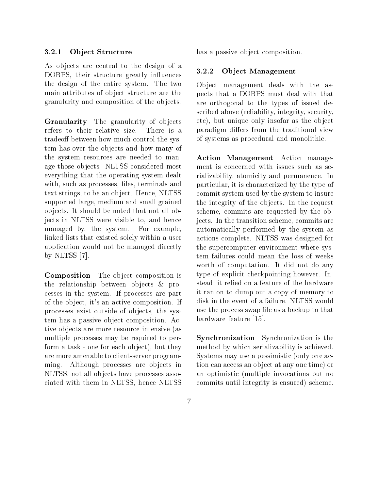#### $3.2.1$ Object Structure

As objects are central to the design of a<br>DODDS their structure weather influences  $3.2.2$ DOBPS, their structure greatly influences the design of the entire system. The two main attributes of object structure are the granularity and composition of the objects.

Granularity The granularity of objects refers to their relative size. There is a tradeoff between how much control the system has over the objects and how many of the system resources are needed to manage those objects. NLTSS considered most everything that the operating system dealt with, such as processes, files, terminals and text strings, to be an object. Hence, NLTSS supported large, medium and small grained ob jects. It should be noted that not all objects in NLTSS were visible to, and hence managed by, the system. For example, linked lists that existed solely within a user application would not be managed directly by NLTSS [7].

Composition The object composition is the relationship between objects & processes in the system. If processes are part of the ob ject, it's an active composition. If processes exist outside of ob jects, the system has a passive ob ject composition. Active ob jects are more resource intensive (as multiple processes may be required to perform a task - one for each object), but they are more amenable to client-server programming. Although processes are objects in NLTSS, not all objects have processes associated with them in NLTSS, hence NLTSS has a passive object composition.

### Object Management

Object management deals with the aspects that a DOBPS must deal with that are orthogonal to the types of issued described above (reliability, integrity, security, etc), but unique only insofar as the object paradigm differs from the traditional view of systems as procedural and monolithic.

Action Management Action management is concerned with issues such as serializability, atomicity and permanence. In particular, it is characterized by the type of commit system used by the system to insure the integrity of the objects. In the request scheme, commits are requested by the objects. In the transition scheme, commits are automatically performed by the system as actions complete. NLTSS was designed for the supercomputer environment where system failures could mean the loss of weeks worth of computation. It did not do any type of explicit checkpointing however. Instead, it relied on a feature of the hardware it ran on to dump out a copy of memory to disk in the event of a failure. NLTSS would use the process swap file as a backup to that hardware feature [15].

Synchronization Synchronization is the method by which serializability is achieved. Systems may use a pessimistic (only one action can access an ob ject at any one time) or an optimistic (multiple invocations but no commits until integrity is ensured) scheme.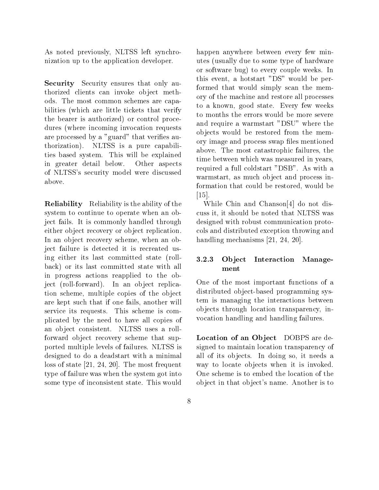As noted previously, NLTSS left synchronization up to the application developer.

Security Security ensures that only authorized clients can invoke object methods. The most common schemes are capabilities (which are little tickets that verify the bearer is authorized) or control procedures (where incoming invocation requests are processed by a "guard" that verifies authorization). NLTSS is a pure capabilities based system. This will be explained in greater detail below. Other aspects of NLTSS's security model were discussed above.

Reliability Reliability is the ability of the system to continue to operate when an object fails. It is commonly handled through either object recovery or object replication. In an object recovery scheme, when an object failure is detected it is recreated using either its last committed state (rollback) or its last committed state with all in progress actions reapplied to the object (roll-forward). In an object replication scheme, multiple copies of the object are kept such that if one fails, another will service its requests. This scheme is complicated by the need to have all copies of an ob ject consistent. NLTSS uses a rollforward object recovery scheme that supported multiple levels of failures. NLTSS is designed to do a deadstart with a minimal loss of state [21, 24, 20]. The most frequent type of failure was when the system got into some type of inconsistent state. This would

happen anywhere between every few minutes (usually due to some type of hardware or software bug) to every couple weeks. In this event, a hotstart "DS" would be performed that would simply scan the memory of the machine and restore all processes to a known, good state. Every few weeks to months the errors would be more severe and require a warmstart "DSU" where the ob jects would be restored from the memory image and process swap files mentioned above. The most catastrophic failures, the time between which was measured in years, required a full coldstart "DSB". As with a warmstart, as much object and process information that could be restored, would be [15].

While Chin and Chanson[4] do not discuss it, it should be noted that NLTSS was designed with robust communication protocols and distributed exception throwing and handling mechanisms [21, 24, 20].

## 3.2.3 Ob ject Interaction Management

One of the most important functions of a distributed object-based programming system is managing the interactions between ob jects through location transparency, invocation handling and handling failures.

Location of an Object DOBPS are designed to maintain location transparency of all of its objects. In doing so, it needs a way to locate objects when it is invoked. One scheme is to embed the location of the ob ject in that object's name. Another is to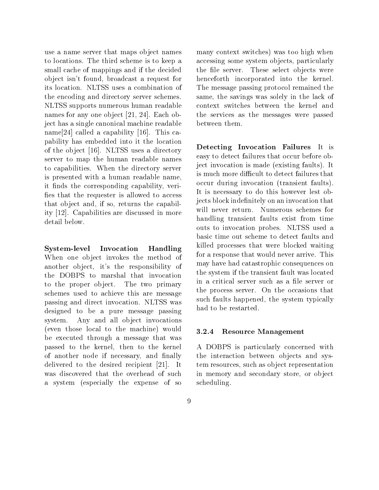use a name server that maps object names to locations. The third scheme is to keep a small cache of mappings and if the decided ob ject isn't found, broadcast a request for its location. NLTSS uses a combination of the encoding and directory server schemes. NLTSS supports numerous human readable names for any one object [21, 24]. Each object has a single canonical machine readable name[24] called a capability [16]. This capability has embedded into it the location of the ob ject [16]. NLTSS uses a directory server to map the human readable names to capabilities. When the directory server is presented with a human readable name, it finds the corresponding capability, verifies that the requester is allowed to access that object and, if so, returns the capability [12]. Capabilities are discussed in more detail below.

System-level Invocation Handling When one object invokes the method of another object, it's the responsibility of the DOBPS to marshal that invocation to the proper object. The two primary schemes used to achieve this are message passing and direct invocation. NLTSS was designed to be a pure message passing system. Any and all object invocations (even those local to the machine) would  $3.2.4$ be executed through a message that was passed to the kernel, then to the kernel of another node if necessary, and finally delivered to the desired recipient [21]. It was discovered that the overhead of such a system (especially the expense of so

many context switches) was too high when accessing some system objects, particularly the file server. These select objects were henceforth incorporated into the kernel. The message passing protocol remained the same, the savings was solely in the lack of context switches between the kernel and the services as the messages were passed between them.

Detecting Invocation Failures It is easy to detect failures that occur before object invocation is made (existing faults). It is much more difficult to detect failures that occur during invocation (transient faults). It is necessary to do this however lest objects block indefinitely on an invocation that will never return. Numerous schemes for handling transient faults exist from time outs to invocation probes. NLTSS used a basic time out scheme to detect faults and killed processes that were blocked waiting for a response that would never arrive. This may have had catastrophic consequences on the system if the transient fault was located in a critical server such as a file server or the process server. On the occasions that such faults happened, the system typically had to be restarted.

### Resource Management

A DOBPS is particularly concerned with the interaction between objects and system resources, such as object representation in memory and secondary store, or object scheduling.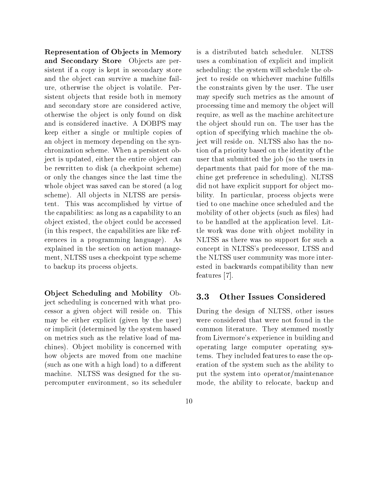Representation of Ob jects in Memory and Secondary Store Objects are persistent if a copy is kept in secondary store and the object can survive a machine failure, otherwise the object is volatile. Persistent objects that reside both in memory and secondary store are considered active, otherwise the ob ject is only found on disk and is considered inactive. A DOBPS may keep either a single or multiple copies of an ob ject in memory depending on the synchronization scheme. When a persistent object is updated, either the entire object can be rewritten to disk (a checkpoint scheme) or only the changes since the last time the whole object was saved can be stored (a log scheme). All objects in NLTSS are persistent. This was accomplished by virtue of the capabilities: as long as a capability to an ob ject existed, the ob ject could be accessed (in this respect, the capabilities are like references in a programming language). As explained in the section on action management, NLTSS uses a checkpoint type scheme to backup its process objects.

Ob ject Scheduling and Mobility Object scheduling is concerned with what processor a given ob ject will reside on. This may be either explicit (given by the user) or implicit (determined by the system based on metrics such as the relative load of machines). Object mobility is concerned with how objects are moved from one machine (such as one with a high load) to a different machine. NLTSS was designed for the supercomputer environment, so its scheduler

is a distributed batch scheduler. **NLTSS** uses a combination of explicit and implicit scheduling: the system will schedule the object to reside on whichever machine fulfills the constraints given by the user. The user may specify such metrics as the amount of processing time and memory the object will require, as well as the machine architecture the ob ject should run on. The user has the option of specifying which machine the object will reside on. NLTSS also has the notion of a priority based on the identity of the user that submitted the job (so the users in departments that paid for more of the machine get preference in scheduling). NLTSS did not have explicit support for object mobility. In particular, process objects were tied to one machine once scheduled and the mobility of other objects (such as files) had to be handled at the application level. Little work was done with object mobility in NLTSS as there was no support for such a concept in NLTSS's predecessor, LTSS and the NLTSS user community was more interested in backwards compatibility than new features [7].

#### 3.3Other Issues Considered

During the design of NLTSS, other issues were considered that were not found in the common literature. They stemmed mostly from Livermore's experience in building and operating large computer operating systems. They included features to ease the operation of the system such as the ability to put the system into operator/maintenance mode, the ability to relocate, backup and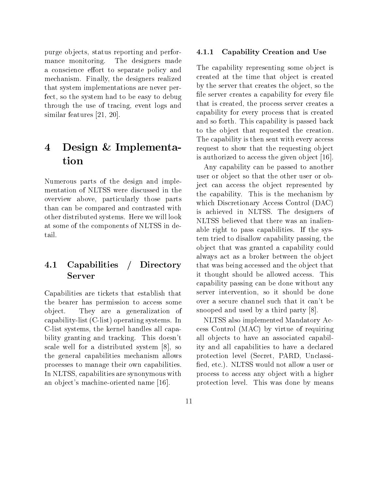purge ob jects, status reporting and performance monitoring. The designers made a conscience effort to separate policy and mechanism. Finally, the designers realized that system implementations are never perfect, so the system had to be easy to debug through the use of tracing, event logs and similar features [21, 20].

## Design & Implementa-4 tion

Numerous parts of the design and implementation of NLTSS were discussed in the overview above, particularly those parts than can be compared and contrasted with other distributed systems. Here we will look at some of the components of NLTSS in detail.

### 4.1 Capabilities / Directory Server

Capabilities are tickets that establish that the bearer has permission to access some ob ject. They are a generalization of capability-list (C-list) operating systems. In C-list systems, the kernel handles all capability granting and tracking. This doesn't scale well for a distributed system [8], so the general capabilities mechanism allows processes to manage their own capabilities. In NLTSS, capabilities are synonymous with an object's machine-oriented name [16].

#### $4.1.1$ Capability Creation and Use

The capability representing some object is created at the time that object is created by the server that creates the ob ject, so the file server creates a capability for every file that is created, the process server creates a capability for every process that is created and so forth. This capability is passed back to the object that requested the creation. The capability is then sent with every access request to show that the requesting object is authorized to access the given object [16].

Any capability can be passed to another user or object so that the other user or object can access the object represented by the capability. This is the mechanism by which Discretionary Access Control (DAC) is achieved in NLTSS. The designers of NLTSS believed that there was an inalienable right to pass capabilities. If the system tried to disallow capability passing, the ob ject that was granted a capability could always act as a broker between the object that was being accessed and the object that it thought should be allowed access. This capability passing can be done without any server intervention, so it should be done over a secure channel such that it can't be snooped and used by a third party [8].

NLTSS also implemented Mandatory Access Control (MAC) by virtue of requiring all objects to have an associated capability and all capabilities to have a declared protection level (Secret, PARD, Unclassi fied, etc.). NLTSS would not allow a user or process to access any object with a higher protection level. This was done by means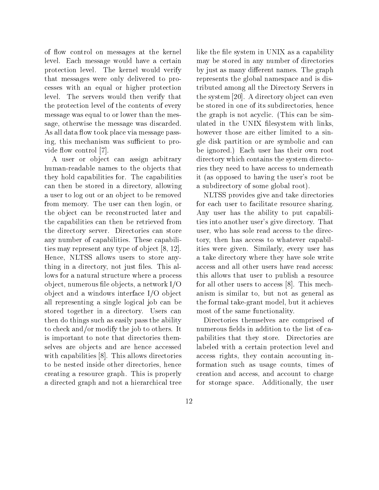of ow control on messages at the kernel level. Each message would have a certain protection level. The kernel would verify that messages were only delivered to processes with an equal or higher protection level. The servers would then verify that the protection level of the contents of every message was equal to or lower than the message, otherwise the message was discarded. As all data flow took place via message passing, this mechanism was sufficient to provide flow control [7].

A user or object can assign arbitrary human-readable names to the objects that they hold capabilities for. The capabilities can then be stored in a directory, allowing a user to log out or an object to be removed from memory. The user can then login, or the object can be reconstructed later and the capabilities can then be retrieved from the directory server. Directories can store any number of capabilities. These capabilities may represent any type of object [8, 12]. Hence, NLTSS allows users to store anything in a directory, not just files. This allows for a natural structure where a process object, numerous file objects, a network  $I/O$ ob ject and a windows interface I/O object all representing a single logical job can be stored together in a directory. Users can then do things such as easily pass the ability to check and/or modify the job to others. It is important to note that directories themselves are objects and are hence accessed with capabilities [8]. This allows directories to be nested inside other directories, hence creating a resource graph. This is properly a directed graph and not a hierarchical tree

like the file system in UNIX as a capability may be stored in any number of directories by just as many different names. The graph represents the global namespace and is distributed among all the Directory Servers in the system [20]. A directory object can even be stored in one of its subdirectories, hence the graph is not acyclic. (This can be simulated in the UNIX filesystem with links, however those are either limited to a single disk partition or are symbolic and can be ignored.) Each user has their own root directory which contains the system directories they need to have access to underneath it (as opposed to having the user's root be a subdirectory of some global root).

NLTSS provides give and take directories for each user to facilitate resource sharing. Any user has the ability to put capabilities into another user's give directory. That user, who has sole read access to the directory, then has access to whatever capabilities were given. Similarly, every user has a take directory where they have sole write access and all other users have read access: this allows that user to publish a resource for all other users to access [8]. This mechanism is similar to, but not as general as the formal take-grant model, but it achieves most of the same functionality.

Directories themselves are comprised of numerous fields in addition to the list of capabilities that they store. Directories are labeled with a certain protection level and access rights, they contain accounting information such as usage counts, times of creation and access, and account to charge for storage space. Additionally, the user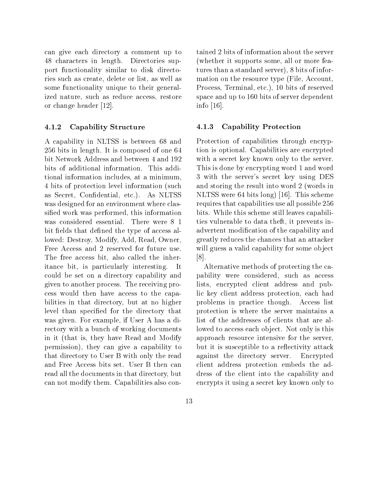can give each directory a comment up to 48 characters in length. Directories support functionality similar to disk directories such as create, delete or list, as well as some functionality unique to their generalized nature, such as reduce access, restore or change header [12].

## 4.1.2 Capability Structure

A capability in NLTSS is between 68 and 256 bits in length. It is composed of one 64 bit Network Address and between 4 and 192 bits of additional information. This additional information includes, at a minimum, 4 bits of protection level information (such as Secret, Condential, etc.). As NLTSS was designed for an environment where classied work was performed, this information was considered essential. There were 8 1 bit fields that defined the type of access allowed: Destroy, Modify, Add, Read, Owner, Free Access and 2 reserved for future use. The free access bit, also called the inheritance bit, is particularly interesting. - I t could be set on a directory capability and given to another process. The receiving process would then have access to the capabilities in that directory, but at no higher level than specied for the directory that was given. For example, if User A has a directory with a bunch of working documents in it (that is, they have Read and Modify permission), they can give a capability to that directory to User B with only the read and Free Access bits set. User B then can read all the documents in that directory, but can not modify them. Capabilities also con-

tained 2 bits of information about the server (whether it supports some, all or more features than a standard server), 8 bits of information on the resource type (File, Account, Process, Terminal, etc.), 10 bits of reserved space and up to 160 bits of server dependent info [16].

## 4.1.3 Capability Protection

Protection of capabilities through encryption is optional. Capabilities are encrypted with a secret key known only to the server. This is done by encrypting word 1 and word 3 with the server's secret key using DES and storing the result into word 2 (words in NLTSS were 64 bits long) [16]. This scheme requires that capabilities use all possible 256 bits. While this scheme still leaves capabilities vulnerable to data theft, it prevents inadvertent modication of the capability and greatly reduces the chances that an attacker will guess a valid capability for some object [8].

Alternative methods of protecting the capability were considered, such as access lists, encrypted client address and public key client address protection, each had problems in practice though. Access list protection is where the server maintains a list of the addresses of clients that are allowed to access each object. Not only is this approach resource intensive for the server, but it is susceptible to a reflectivity attack against the directory server. Encrypted client address protection embeds the address of the client into the capability and encrypts it using a secret key known only to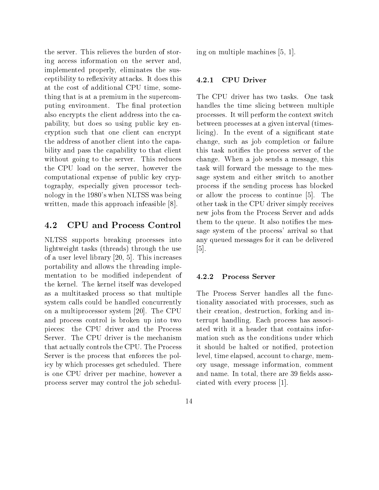the server. This relieves the burden of storing access information on the server and, implemented properly, eliminates the susceptibility to reflexivity attacks. It does this 4.2.1 at the cost of additional CPU time, something that is at a premium in the supercomputing environment. The final protection also encrypts the client address into the capability, but does so using public key encryption such that one client can encrypt the address of another client into the capability and pass the capability to that client without going to the server. This reduces the CPU load on the server, however the computational expense of public key cryptography, especially given processor technology in the 1980's when NLTSS was being written, made this approach infeasible [8].

#### 4.2CPU and Process Control

NLTSS supports breaking processes into lightweight tasks (threads) through the use of a user level library [20, 5]. This increases portability and allows the threading implementation to be modified independent of  $4.2.2$ the kernel. The kernel itself was developed as a multitasked process so that multiple system calls could be handled concurrently on a multiprocessor system [20]. The CPU and process control is broken up into two pieces: the CPU driver and the Process Server. The CPU driver is the mechanism that actually controls the CPU. The Process Server is the process that enforces the policy by which processes get scheduled. There is one CPU driver per machine, however a process server may control the job schedul-

ing on multiple machines [5, 1].

### 4.2.1 CPU Driver

The CPU driver has two tasks. One task handles the time slicing between multiple processes. It will perform the context switch between processes at a given interval (timeslicing). In the event of a significant state change, such as job completion or failure this task noties the process server of the change. When a job sends a message, this task will forward the message to the message system and either switch to another process if the sending process has blocked or allow the process to continue [5]. The other task in the CPU driver simply receives new jobs from the Process Server and adds them to the queue. It also notifies the message system of the process' arrival so that any queued messages for it can be delivered [5].

### Process Server

The Process Server handles all the functionality associated with processes, such as their creation, destruction, forking and interrupt handling. Each process has associated with it a header that contains information such as the conditions under which it should be halted or notied, protection level, time elapsed, account to charge, memory usage, message information, comment and name. In total, there are 39 fields associated with every process [1].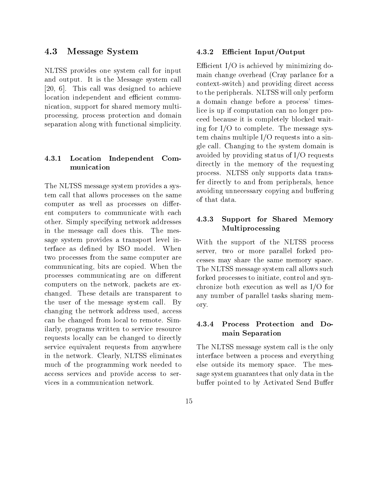#### 4.3Message System

NLTSS provides one system call for input and output. It is the Message system call [20, 6]. This call was designed to achieve location independent and efficient communication, support for shared memory multiprocessing, process protection and domain separation along with functional simplicity.

## 4.3.1 Location Independent Com- ${\bf$

The NLTSS message system provides a system call that allows processes on the same computer as well as processes on different computers to communicate with each other. Simply specifying network addresses in the message call does this. The message system provides a transport level interface as defined by ISO model. When two processes from the same computer are communicating, bits are copied. When the processes communicating are on different computers on the network, packets are exchanged. These details are transparent to the user of the message system call. By changing the network address used, access can be changed from local to remote. Similarly, programs written to service resource requests locally can be changed to directly service equivalent requests from anywhere in the network. Clearly, NLTSS eliminates much of the programming work needed to access services and provide access to services in a communication network.

### Efficient Input/Output

Efficient I/O is achieved by minimizing domain change overhead (Cray parlance for a context-switch) and providing direct access to the peripherals. NLTSS will only perform a domain change before a process' timeslice is up if computation can no longer proceed because it is completely blocked waiting for I/O to complete. The message system chains multiple I/O requests into a single call. Changing to the system domain is avoided by providing status of I/O requests directly in the memory of the requesting process. NLTSS only supports data transfer directly to and from peripherals, hence avoiding unnecessary copying and buffering of that data.

## 4.3.3 Support for Shared Memory Multiprocessing

With the support of the NLTSS process server, two or more parallel forked processes may share the same memory space. The NLTSS message system call allows such forked processes to initiate, control and synchronize both execution as well as I/O for any number of parallel tasks sharing memory.

## 4.3.4 Process Protection and Domain Separation

The NLTSS message system call is the only interface between a process and everything else outside its memory space. The message system guarantees that only data in the buffer pointed to by Activated Send Buffer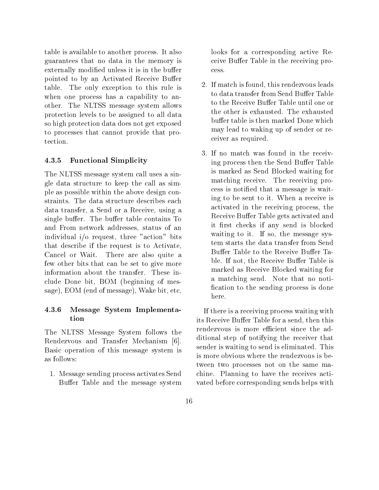table is available to another process. It also guarantees that no data in the memory is externally modified unless it is in the buffer pointed to by an Activated Receive Buffer table. The only exception to this rule is when one process has a capability to another. The NLTSS message system allows protection levels to be assigned to all data so high protection data does not get exposed to processes that cannot provide that protection.

## 4.3.5 Functional Simplicity

The NLTSS message system call uses a single data structure to keep the call as simple as possible within the above design constraints. The data structure describes each data transfer, a Send or a Receive, using a single buffer. The buffer table contains To and From network addresses, status of an individual i/o request, three "action" bits that describe if the request is to Activate, Cancel or Wait. There are also quite a few other bits that can be set to give more information about the transfer. These include Done bit, BOM (beginning of message), EOM (end of message), Wake bit, etc.

## 4.3.6 Message System Implementation

The NLTSS Message System follows the Rendezvous and Transfer Mechanism [6]. Basic operation of this message system is as follows:

1. Message sending process activates Send Buffer Table and the message system

looks for a corresponding active Receive Buffer Table in the receiving pro-

- 2. If match is found, this rendezvous leads to data transfer from Send Buffer Table to the Receive Buffer Table until one or the other is exhausted. The exhausted buffer table is then marked Done which may lead to waking up of sender or receiver as required.
- 3. If no match was found in the receiving process then the Send Buffer Table is marked as Send Blocked waiting for matching receive. The receiving process is notied that a message is waiting to be sent to it. When a receive is activated in the receiving process, the Receive Buffer Table gets activated and it first checks if any send is blocked waiting to it. If so, the message system starts the data transfer from Send Buffer Table to the Receive Buffer Table. If not, the Receive Buffer Table is marked as Receive Blocked waiting for a matching send. Note that no noti fication to the sending process is done here.

If there is a receiving process waiting with its Receive Buffer Table for a send, then this rendezvous is more efficient since the additional step of notifying the receiver that sender is waiting to send is eliminated. This is more obvious where the rendezvous is between two processes not on the same machine. Planning to have the receives activated before corresponding sends helps with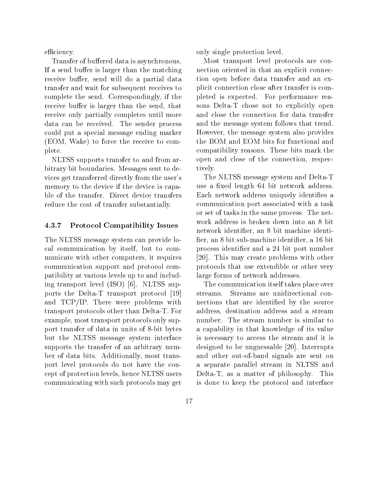efficiency.

Transfer of buffered data is asynchronous. If a send buffer is larger than the matching receive buffer, send will do a partial data transfer and wait for subsequent receives to complete the send. Correspondingly, if the receive buffer is larger than the send, that receive only partially completes until more data can be received. The sender process could put a special message ending marker (EOM, Wake) to force the receive to complete.

NLTSS supports transfer to and from arbitrary bit boundaries. Messages sent to devices get transferred directly from the user's memory to the device if the device is capable of the transfer. Direct device transfers reduce the cost of transfer substantially.

## 4.3.7 Protocol Compatibility Issues

The NLTSS message system can provide local communication by itself, but to communicate with other computers, it requires communication support and protocol compatibility at various levels up to and including transport level (ISO) [6]. NLTSS supports the Delta-T transport protocol [19] and TCP/IP. There were problems with transport protocols other than Delta-T. For example, most transport protocols only support transfer of data in units of 8-bit bytes but the NLTSS message system interface supports the transfer of an arbitrary number of data bits. Additionally, most transport level protocols do not have the concept of protection levels, hence NLTSS users communicating with such protocols may get

only single protection level.

Most transport level protocols are connection oriented in that an explicit connection open before data transfer and an explicit connection close after transfer is completed is expected. For performance reasons Delta-T chose not to explicitly open and close the connection for data transfer and the message system follows that trend. However, the message system also provides the BOM and EOM bits for functional and compatibility reasons. These bits mark the open and close of the connection, respectively.

The NLTSS message system and Delta-T use a fixed length 64 bit network address. Each network address uniquely identifies a communication port associated with a task or set of tasks in the same process. The network address is broken down into an 8 bit network identier, an 8 bit machine identi fier, an 8 bit sub-machine identifier, a 16 bit process identier and a 24 bit port number [20]. This may create problems with other protocols that use extendible or other very large forms of network addresses.

The communication itself takes place over streams. Streams are unidirectional connections that are identied by the source address, destination address and a stream number. The stream number is similar to a capability in that knowledge of its value is necessary to access the stream and it is designed to be unguessable [20]. Interrupts and other out-of-band signals are sent on a separate parallel stream in NLTSS and Delta-T, as a matter of philosophy. This is done to keep the protocol and interface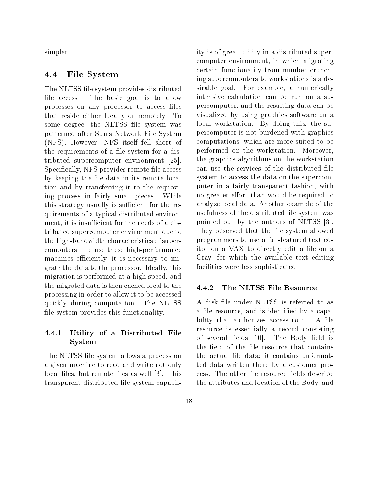simpler.

#### 4.4File System

The NLTSS file system provides distributed file access. The basic goal is to allow processes on any processor to access les that reside either locally or remotely. To some degree, the NLTSS file system was patterned after Sun's Network File System (NFS). However, NFS itself fell short of the requirements of a file system for a distributed supercomputer environment [25]. Specifically, NFS provides remote file access by keeping the file data in its remote location and by transferring it to the requesting process in fairly small pieces. While this strategy usually is sufficient for the requirements of a typical distributed environment, it is insufficient for the needs of a distributed supercomputer environment due to the high-bandwidth characteristics of supercomputers. To use these high-performance machines efficiently, it is necessary to migrate the data to the processor. Ideally, this migration is performed at a high speed, and the migrated data is then cached local to the  $4.4.2$ processing in order to allow it to be accessed quickly during computation. The NLTSS file system provides this functionality.

## 4.4.1 Utility of a Distributed File System

The NLTSS file system allows a process on a given machine to read and write not only local files, but remote files as well [3]. This transparent distributed file system capability is of great utility in a distributed supercomputer environment, in which migrating certain functionality from number crunching supercomputers to workstations is a desirable goal. For example, a numerically intensive calculation can be run on a supercomputer, and the resulting data can be visualized by using graphics software on a local workstation. By doing this, the supercomputer is not burdened with graphics computations, which are more suited to be performed on the workstation. Moreover, the graphics algorithms on the workstation can use the services of the distributed file system to access the data on the supercomputer in a fairly transparent fashion, with no greater effort than would be required to analyze local data. Another example of the usefulness of the distributed file system was pointed out by the authors of NLTSS [3]. They observed that the file system allowed programmers to use a full-featured text editor on a VAX to directly edit a file on a Cray, for which the available text editing facilities were less sophisticated.

## 4.4.2 The NLTSS File Resource

A disk file under NLTSS is referred to as a file resource, and is identified by a capability that authorizes access to it. A file resource is essentially a record consisting of several fields [10]. The Body field is the field of the file resource that contains the actual file data; it contains unformatted data written there by a customer process. The other file resource fields describe the attributes and location of the Body, and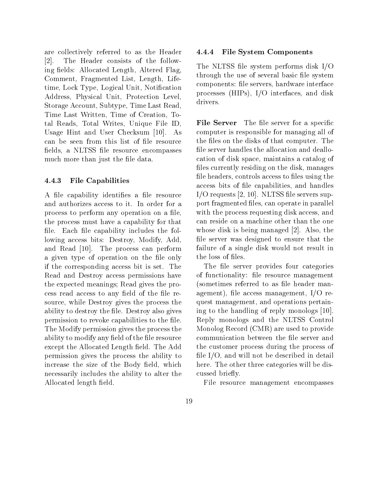are collectively referred to as the Header [2]. The Header consists of the following fields: Allocated Length, Altered Flag Comment, Fragmented List, Length, Lifetime, Lock Type, Logical Unit, Notification Address, Physical Unit, Protection Level, Storage Account, Subtype, Time Last Read, Time Last Written, Time of Creation, Total Reads, Total Writes, Unique File ID, Usage Hint and User Checksum [10]. As can be seen from this list of file resource fields, a NLTSS file resource encompasses much more than just the file data.

## 4.4.3 File Capabilities

A file capability identifies a file resource and authorizes access to it. In order for a process to perform any operation on a file, the process must have a capability for that file. Each file capability includes the following access bits: Destroy, Modify, Add, and Read [10]. The process can perform a given type of operation on the file only if the corresponding access bit is set. The Read and Destroy access permissions have the expected meanings; Read gives the process read access to any field of the file resource, while Destroy gives the process the ability to destroy the file. Destroy also gives permission to revoke capabilities to the file. The Modify permission gives the process the ability to modify any field of the file resource except the Allocated Length field. The Add permission gives the process the ability to increase the size of the Body field, which necessarily includes the ability to alter the Allocated length field.

#### $4.4.4$ File System Components

The NLTSS file system performs disk I/O through the use of several basic file system components: le servers, hardware interface processes (HIPs), I/O interfaces, and disk drivers.

**File Server** The file server for a specific computer is responsible for managing all of the files on the disks of that computer. The file server handles the allocation and deallocation of disk space, maintains a catalog of files currently residing on the disk, manages file headers, controls access to files using the access bits of le capabilities, and handles  $I/O$  requests  $[2, 10]$ . NLTSS file servers support fragmented files, can operate in parallel with the process requesting disk access, and can reside on a machine other than the one whose disk is being managed [2]. Also, the file server was designed to ensure that the failure of a single disk would not result in the loss of files.

The file server provides four categories of functionality: file resource management (sometimes referred to as file header management), file access management, I/O request management, and operations pertaining to the handling of reply monologs [10]. Reply monologs and the NLTSS Control Monolog Record (CMR) are used to provide communication between the file server and the customer process during the process of file  $I/O$ , and will not be described in detail here. The other three categories will be discussed briefly.

File resource management encompasses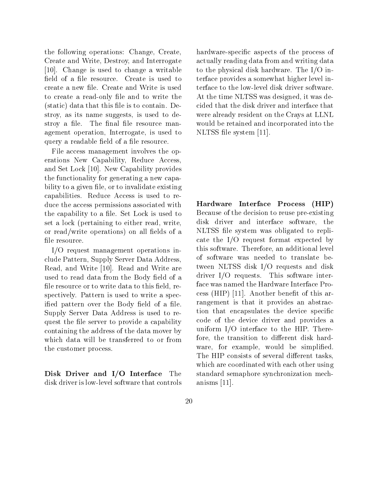the following operations: Change, Create, Create and Write, Destroy, and Interrogate [10]. Change is used to change a writable field of a file resource. Create is used to create a new file. Create and Write is used to create a read-only file and to write the  $(s<sub>t</sub>)$  data that this file is to contain. Destroy, as its name suggests, is used to destroy a file. The final file resource management operation, Interrogate, is used to query a readable field of a file resource.

File access management involves the operations New Capability, Reduce Access, and Set Lock [10]. New Capability provides the functionality for generating a new capability to a given file, or to invalidate existing capabilities. Reduce Access is used to reduce the access permissions associated with the capability to a file. Set Lock is used to set a lock (pertaining to either read, write, or read/write operations) on all fields of a file resource.

I/O request management operations include Pattern, Supply Server Data Address, Read, and Write [10]. Read and Write are used to read data from the Body field of a file resource or to write data to this field, respectively. Pattern is used to write a specified pattern over the Body field of a file. Supply Server Data Address is used to request the file server to provide a capability containing the address of the data mover by which data will be transferred to or from the customer process.

Disk Driver and I/O Interface The disk driver is low-level software that controls hardware-specific aspects of the process of actually reading data from and writing data to the physical disk hardware. The I/O interface provides a somewhat higher level interface to the low-level disk driver software. At the time NLTSS was designed, it was decided that the disk driver and interface that were already resident on the Crays at LLNL would be retained and incorporated into the NLTSS file system [11].

Hardware Interface Process (HIP) Because of the decision to reuse pre-existing disk driver and interface software, the NLTSS file system was obligated to replicate the I/O request format expected by this software. Therefore, an additional level of software was needed to translate between NLTSS disk I/O requests and disk driver I/O requests. This software interface was named the Hardware Interface Process (HIP)  $[11]$ . Another benefit of this arrangement is that it provides an abstraction that encapsulates the device specific code of the device driver and provides a uniform I/O interface to the HIP. Therefore, the transition to different disk hardware, for example, would be simplified. The HIP consists of several different tasks, which are coordinated with each other using standard semaphore synchronization mechanisms [11].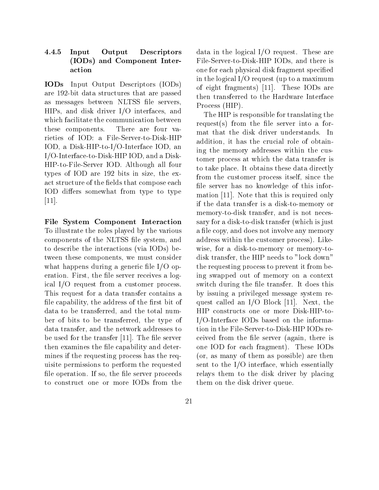### 4.4.5 4.4.5 Input Output Descriptors (IODs) and Component Interaction

IODs Input Output Descriptors (IODs) are 192-bit data structures that are passed as messages between NLTSS le servers, HIPs, and disk driver I/O interfaces, and which facilitate the communication between these components. There are four varieties of IOD: a File-Server-to-Disk-HIP IOD, a Disk-HIP-to-I/O-Interface IOD, an I/O-Interface-to-Disk-HIP IOD, and a Disk-HIP-to-File-Server IOD. Although all four types of IOD are 192 bits in size, the exact structure of the fields that compose each IOD differs somewhat from type to type [11].

File System Component Interaction To illustrate the roles played by the various components of the NLTSS le system, and to describe the interactions (via IODs) between these components, we must consider what happens during a generic file  $I/O$  operation. First, the file server receives a logical I/O request from a customer process. This request for a data transfer contains a file capability, the address of the first bit of data to be transferred, and the total number of bits to be transferred, the type of data transfer, and the network addresses to be used for the transfer  $[11]$ . The file server then examines the file capability and determines if the requesting process has the requisite permissions to perform the requested file operation. If so, the file server proceeds to construct one or more IODs from the

data in the logical I/O request. These are File-Server-to-Disk-HIP IODs, and there is one for each physical disk fragment specied in the logical I/O request (up to a maximum of eight fragments) [11]. These IODs are then transferred to the Hardware Interface Process (HIP).

The HIP is responsible for translating the request(s) from the file server into a format that the disk driver understands. In addition, it has the crucial role of obtaining the memory addresses within the customer process at which the data transfer is to take place. It obtains these data directly from the customer process itself, since the file server has no knowledge of this information [11]. Note that this is required only if the data transfer is a disk-to-memory or memory-to-disk transfer, and is not necessary for a disk-to-disk transfer (which is just a file copy, and does not involve any memory address within the customer process). Likewise, for a disk-to-memory or memory-todisk transfer, the HIP needs to "lock down" the requesting process to prevent it from being swapped out of memory on a context switch during the file transfer. It does this by issuing a privileged message system request called an I/O Block [11]. Next, the HIP constructs one or more Disk-HIP-to-I/O-Interface IODs based on the information in the File-Server-to-Disk-HIP IODs received from the file server (again, there is one IOD for each fragment). These IODs (or, as many of them as possible) are then sent to the I/O interface, which essentially relays them to the disk driver by placing them on the disk driver queue.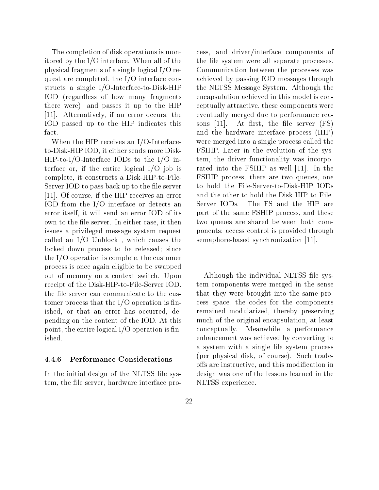The completion of disk operations is monitored by the I/O interface. When all of the physical fragments of a single logical I/O request are completed, the I/O interface constructs a single I/O-Interface-to-Disk-HIP IOD (regardless of how many fragments there were), and passes it up to the HIP [11]. Alternatively, if an error occurs, the IOD passed up to the HIP indicates this fact.

When the HIP receives an I/O-Interfaceto-Disk-HIP IOD, it either sends more Disk-HIP-to-I/O-Interface IODs to the I/O interface or, if the entire logical I/O job is complete, it constructs a Disk-HIP-to-File-Server IOD to pass back up to the file server [11]. Of course, if the HIP receives an error IOD from the I/O interface or detects an Server IODs. error itself, it will send an error IOD of its own to the file server. In either case, it then issues a privileged message system request called an I/O Unblock , which causes the locked down process to be released; since the I/O operation is complete, the customer process is once again eligible to be swapped out of memory on a context switch. Upon receipt of the Disk-HIP-to-File-Server IOD, the file server can communicate to the customer process that the  $I/O$  operation is finished, or that an error has occurred, depending on the content of the IOD. At this point, the entire logical  $I/O$  operation is finished.

### 4.4.6 Performance Considerations

In the initial design of the NLTSS file system, the file server, hardware interface process, and driver/interface components of the file system were all separate processes. Communication between the processes was achieved by passing IOD messages through the NLTSS Message System. Although the encapsulation achieved in this model is conceptually attractive, these components were eventually merged due to performance rea-At first, the file server (FS) and the hardware interface process (HIP) were merged into a single process called the FSHIP. Later in the evolution of the system, the driver functionality was incorporated into the FSHIP as well [11]. In the FSHIP process, there are two queues, one to hold the File-Server-to-Disk-HIP IODs and the other to hold the Disk-HIP-to-File-The FS and the HIP are part of the same FSHIP process, and these two queues are shared between both components; access control is provided through semaphore-based synchronization [11].

Although the individual NLTSS file system components were merged in the sense that they were brought into the same process space, the codes for the components remained modularized, thereby preserving much of the original encapsulation, at least conceptually. Meanwhile, a performance enhancement was achieved by converting to a system with a single file system process (per physical disk, of course). Such tradeoffs are instructive, and this modification in design was one of the lessons learned in the NLTSS experience.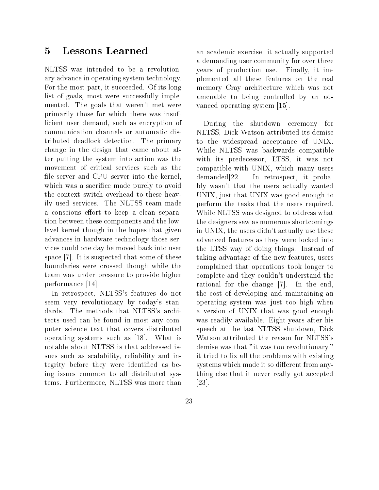#### **Lessons Learned**  $\overline{5}$

NLTSS was intended to be a revolutionary advance in operating system technology. For the most part, it succeeded. Of its long list of goals, most were successfully implemented. The goals that weren't met were primarily those for which there was insuf ficient user demand, such as encryption of communication channels or automatic distributed deadlock detection. The primary change in the design that came about after putting the system into action was the movement of critical services such as the file server and CPU server into the kernel, demanded [22]. which was a sacrifice made purely to avoid the context switch overhead to these heavily used services. The NLTSS team made a conscious effort to keep a clean separation between these components and the lowlevel kernel though in the hopes that given advances in hardware technology those services could one day be moved back into user space [7]. It is suspected that some of these boundaries were crossed though while the team was under pressure to provide higher performance [14].

In retrospect, NLTSS's features do not seem very revolutionary by today's standards. The methods that NLTSS's architects used can be found in most any computer science text that covers distributed operating systems such as [18]. What is notable about NLTSS is that addressed issues such as scalability, reliability and integrity before they were identied as being issues common to all distributed systems. Furthermore, NLTSS was more than

an academic exercise: it actually supported a demanding user community for over three years of production use. Finally, it implemented all these features on the real memory Cray architecture which was not amenable to being controlled by an advanced operating system [15].

During the shutdown ceremony for NLTSS, Dick Watson attributed its demise to the widespread acceptance of UNIX. While NLTSS was backwards compatible with its predecessor, LTSS, it was not compatible with UNIX, which many users In retrospect, it probably wasn't that the users actually wanted UNIX, just that UNIX was good enough to perform the tasks that the users required. While NLTSS was designed to address what the designers saw as numerous shortcomings in UNIX, the users didn't actually use these advanced features as they were locked into the LTSS way of doing things. Instead of taking advantage of the new features, users complained that operations took longer to complete and they couldn't understand the rational for the change [7]. In the end, the cost of developing and maintaining an operating system was just too high when a version of UNIX that was good enough was readily available. Eight years after his speech at the last NLTSS shutdown, Dick Watson attributed the reason for NLTSS's demise was that "it was too revolutionary," it tried to fix all the problems with existing systems which made it so different from anything else that it never really got accepted [23].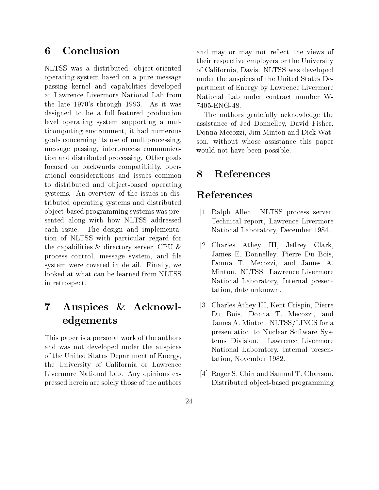#### Conclusion 6

NLTSS was a distributed, object-oriented operating system based on a pure message passing kernel and capabilities developed at Lawrence Livermore National Lab from the late 1970's through 1993. As it was designed to be a full-featured production level operating system supporting a multicomputing environment, it had numerous goals concerning its use of multiprocessing, message passing, interprocess communication and distributed processing. Other goals focused on backwards compatibility, operational considerations and issues common to distributed and object-based operating systems. An overview of the issues in distributed operating systems and distributed ob ject-based programming systems was presented along with how NLTSS addressed each issue. The design and implementation of NLTSS with particular regard for the capabilities  $\&$  directory server, CPU  $\&$ process control, message system, and le system were covered in detail. Finally, we looked at what can be learned from NLTSS in retrospect.

## Auspices & Acknowl- $\overline{7}$ edgements

This paper is a personal work of the authors and was not developed under the auspices of the United States Department of Energy, the University of California or Lawrence Livermore National Lab. Any opinions expressed herein are solely those of the authors

and may or may not reflect the views of their respective employers or the University of California, Davis. NLTSS was developed under the auspices of the United States Department of Energy by Lawrence Livermore National Lab under contract number W-7405-ENG-48.

The authors gratefully acknowledge the assistance of Jed Donnelley, David Fisher, Donna Mecozzi, Jim Minton and Dick Watson, without whose assistance this paper would not have been possible.

### **References** 8

# References

- [1] Ralph Allen. NLTSS process server. Technical report, Lawrence Livermore National Laboratory, December 1984.
- [2] Charles Athey III, Jeffrey Clark, James E. Donnelley, Pierre Du Bois, Donna T. Mecozzi, and James A. Minton. NLTSS. Lawrence Livermore National Laboratory, Internal presentation, date unknown.
- [3] Charles Athey III, Kent Crispin, Pierre Du Bois, Donna T. Mecozzi, and James A. Minton. NLTSS/LINCS for a presentation to Nuclear Software Systems Division. Lawrence Livermore National Laboratory, Internal presentation, November 1982.
- [4] Roger S. Chin and Samual T. Chanson. Distributed ob ject-based programming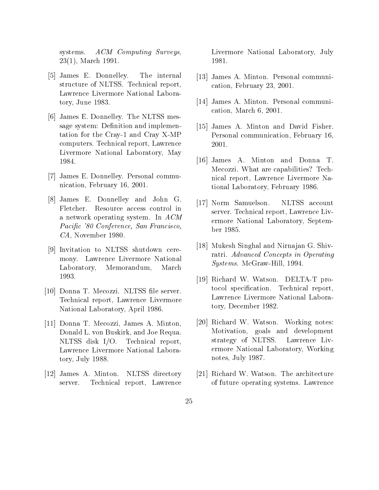ACM Computing Surveys, systems. 23(1), March 1991.

- [5] James E. Donnelley. The internal structure of NLTSS. Technical report, Lawrence Livermore National Laboratory, June 1983.
- [6] James E. Donnelley. The NLTSS message system: Definition and implementation for the Cray-1 and Cray X-MP computers. Technical report, Lawrence Livermore National Laboratory, May 1984.
- [7] James E. Donnelley. Personal communication, February 16, 2001.
- [8] James E. Donnelley and John G. Fletcher. Resource access control in a network operating system. In ACM Pacific '80 Conference, San Francisco, CA, November 1980.
- [9] Invitation to NLTSS shutdown ceremony. Lawrence Livermore National Laboratory, Memorandum, March 1993.
- [10] Donna T. Mecozzi. NLTSS file server. Technical report, Lawrence Livermore National Laboratory, April 1986.
- [11] Donna T. Mecozzi, James A. Minton, Donald L. von Buskirk, and Joe Requa. NLTSS disk I/O. Technical report, Lawrence Livermore National Laboratory, July 1988.
- [12] James A. Minton. NLTSS directory server. Technical report, Lawrence

Livermore National Laboratory, July 1981.

- [13] James A. Minton. Personal communication, February 23, 2001.
- [14] James A. Minton. Personal communication, March 6, 2001.
- [15] James A. Minton and David Fisher. Personal communication, February 16, 2001.
- [16] James A. Minton and Donna T. Mecozzi. What are capabilities? Technical report, Lawrence Livermore National Laboratory, February 1986.
- [17] Norm Samuelson. NLTSS account server. Technical report, Lawrence Livermore National Laboratory, September 1985.
- [18] Mukesh Singhal and Nirnajan G. Shivratri. Advanced Concepts in Operating Systems. McGraw-Hill, 1994.
- [19] Richard W. Watson. DELTA-T protocol specification. Technical report, Lawrence Livermore National Laboratory, December 1982.
- [20] Richard W. Watson. Working notes: Motivation, goals and development strategy of NLTSS. Lawrence Livermore National Laboratory, Working notes, July 1987.
- [21] Richard W. Watson. The architecture of future operating systems. Lawrence
- 25